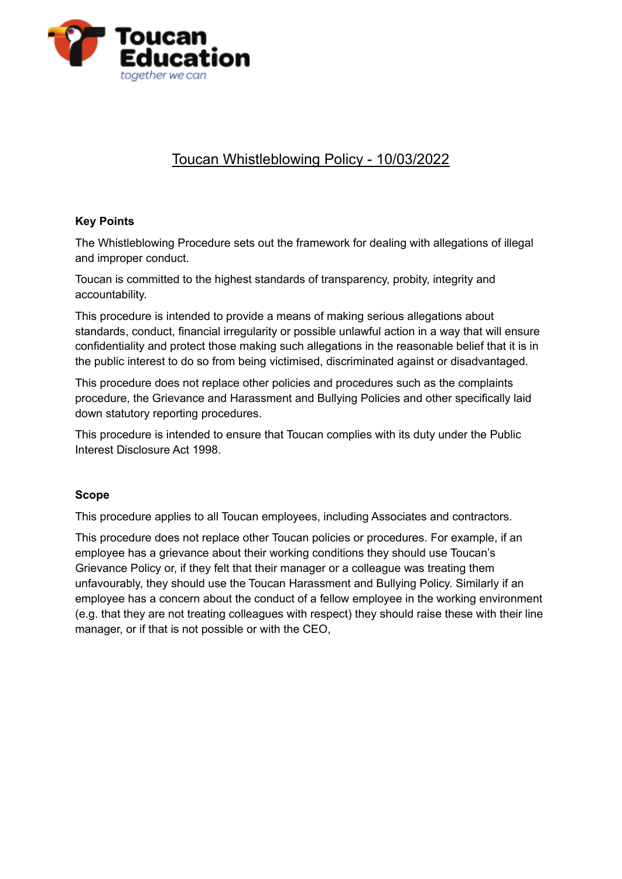

# Toucan Whistleblowing Policy - 10/03/2022

## **Key Points**

The Whistleblowing Procedure sets out the framework for dealing with allegations of illegal and improper conduct.

Toucan is committed to the highest standards of transparency, probity, integrity and accountability.

This procedure is intended to provide a means of making serious allegations about standards, conduct, financial irregularity or possible unlawful action in a way that will ensure confidentiality and protect those making such allegations in the reasonable belief that it is in the public interest to do so from being victimised, discriminated against or disadvantaged.

This procedure does not replace other policies and procedures such as the complaints procedure, the Grievance and Harassment and Bullying Policies and other specifically laid down statutory reporting procedures.

This procedure is intended to ensure that Toucan complies with its duty under the Public Interest Disclosure Act 1998.

## **Scope**

This procedure applies to all Toucan employees, including Associates and contractors.

This procedure does not replace other Toucan policies or procedures. For example, if an employee has a grievance about their working conditions they should use Toucan's Grievance Policy or, if they felt that their manager or a colleague was treating them unfavourably, they should use the Toucan Harassment and Bullying Policy. Similarly if an employee has a concern about the conduct of a fellow employee in the working environment (e.g. that they are not treating colleagues with respect) they should raise these with their line manager, or if that is not possible or with the CEO,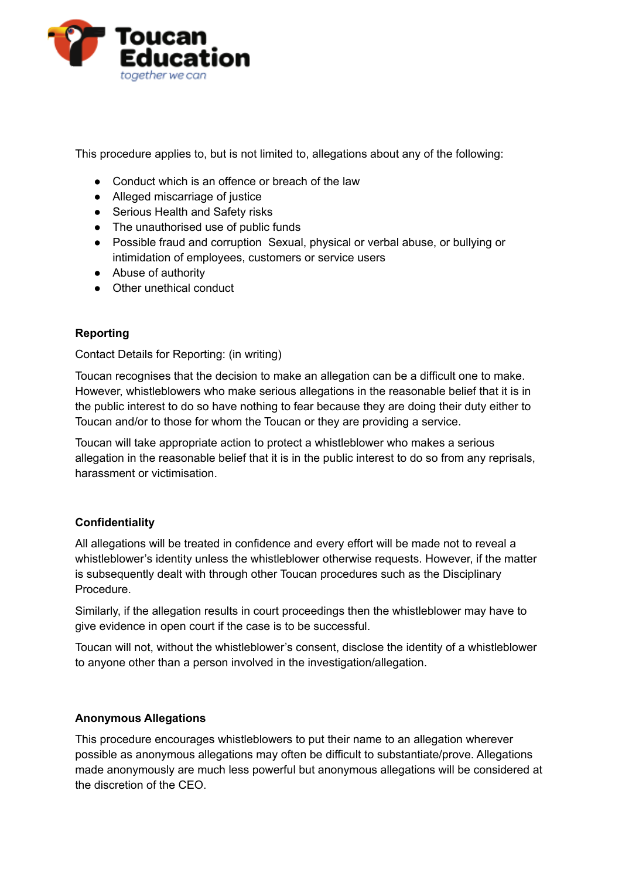

This procedure applies to, but is not limited to, allegations about any of the following:

- Conduct which is an offence or breach of the law
- Alleged miscarriage of justice
- Serious Health and Safety risks
- The unauthorised use of public funds
- Possible fraud and corruption Sexual, physical or verbal abuse, or bullying or intimidation of employees, customers or service users
- Abuse of authority
- Other unethical conduct

## **Reporting**

Contact Details for Reporting: (in writing)

Toucan recognises that the decision to make an allegation can be a difficult one to make. However, whistleblowers who make serious allegations in the reasonable belief that it is in the public interest to do so have nothing to fear because they are doing their duty either to Toucan and/or to those for whom the Toucan or they are providing a service.

Toucan will take appropriate action to protect a whistleblower who makes a serious allegation in the reasonable belief that it is in the public interest to do so from any reprisals, harassment or victimisation.

## **Confidentiality**

All allegations will be treated in confidence and every effort will be made not to reveal a whistleblower's identity unless the whistleblower otherwise requests. However, if the matter is subsequently dealt with through other Toucan procedures such as the Disciplinary Procedure.

Similarly, if the allegation results in court proceedings then the whistleblower may have to give evidence in open court if the case is to be successful.

Toucan will not, without the whistleblower's consent, disclose the identity of a whistleblower to anyone other than a person involved in the investigation/allegation.

## **Anonymous Allegations**

This procedure encourages whistleblowers to put their name to an allegation wherever possible as anonymous allegations may often be difficult to substantiate/prove. Allegations made anonymously are much less powerful but anonymous allegations will be considered at the discretion of the CEO.